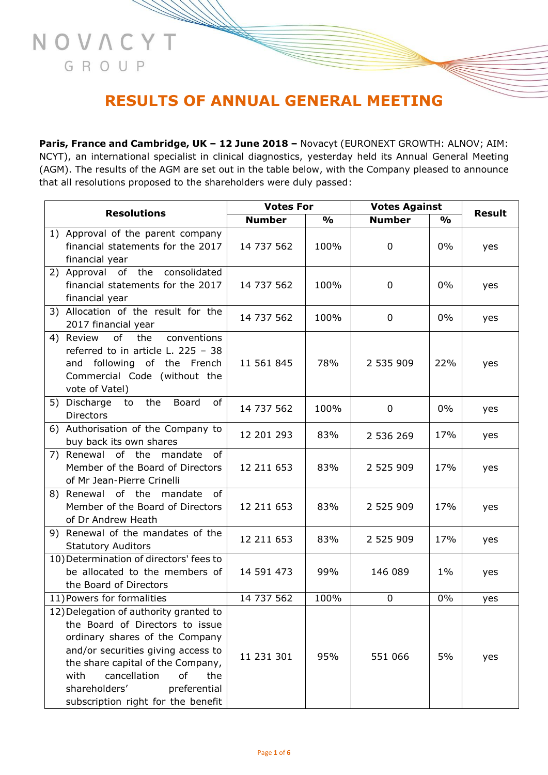# **RESULTS OF ANNUAL GENERAL MEETING**

NOVACYT

GROUP

**Paris, France and Cambridge, UK – 12 June 2018 –** Novacyt (EURONEXT GROWTH: ALNOV; AIM: NCYT), an international specialist in clinical diagnostics, yesterday held its Annual General Meeting (AGM). The results of the AGM are set out in the table below, with the Company pleased to announce that all resolutions proposed to the shareholders were duly passed:

| <b>Resolutions</b> |                                                                                                                                                                                                                                                                                                    | <b>Votes For</b> |               | <b>Votes Against</b> |               |               |
|--------------------|----------------------------------------------------------------------------------------------------------------------------------------------------------------------------------------------------------------------------------------------------------------------------------------------------|------------------|---------------|----------------------|---------------|---------------|
|                    |                                                                                                                                                                                                                                                                                                    | <b>Number</b>    | $\frac{0}{0}$ | <b>Number</b>        | $\frac{1}{2}$ | <b>Result</b> |
|                    | 1) Approval of the parent company<br>financial statements for the 2017<br>financial year                                                                                                                                                                                                           | 14 737 562       | 100%          | 0                    | 0%            | yes           |
|                    | 2) Approval<br>of the consolidated<br>financial statements for the 2017<br>financial year                                                                                                                                                                                                          | 14 737 562       | 100%          | 0                    | 0%            | yes           |
| 3)                 | Allocation of the result for the<br>2017 financial year                                                                                                                                                                                                                                            | 14 737 562       | 100%          | 0                    | 0%            | yes           |
|                    | of<br>conventions<br>4) Review<br>the<br>referred to in article L. 225 - 38<br>and following of the French<br>Commercial Code (without the<br>vote of Vatel)                                                                                                                                       | 11 561 845       | 78%           | 2 535 909            | 22%           | yes           |
|                    | 5) Discharge<br>to the<br>Board<br>of<br><b>Directors</b>                                                                                                                                                                                                                                          | 14 737 562       | 100%          | 0                    | $0\%$         | yes           |
|                    | 6) Authorisation of the Company to<br>buy back its own shares                                                                                                                                                                                                                                      | 12 201 293       | 83%           | 2 536 269            | 17%           | yes           |
|                    | 7) Renewal of the<br>mandate<br>of<br>Member of the Board of Directors<br>of Mr Jean-Pierre Crinelli                                                                                                                                                                                               | 12 211 653       | 83%           | 2 525 909            | 17%           | yes           |
|                    | 8) Renewal of the<br>mandate<br>of<br>Member of the Board of Directors<br>of Dr Andrew Heath                                                                                                                                                                                                       | 12 211 653       | 83%           | 2 525 909            | 17%           | yes           |
|                    | 9) Renewal of the mandates of the<br><b>Statutory Auditors</b>                                                                                                                                                                                                                                     | 12 211 653       | 83%           | 2 525 909            | 17%           | yes           |
|                    | 10) Determination of directors' fees to<br>be allocated to the members of<br>the Board of Directors                                                                                                                                                                                                | 14 591 473       | 99%           | 146 089              | $1\%$         | yes           |
|                    | 11) Powers for formalities                                                                                                                                                                                                                                                                         | 14 737 562       | 100%          | 0                    | 0%            | yes           |
|                    | 12) Delegation of authority granted to<br>the Board of Directors to issue<br>ordinary shares of the Company<br>and/or securities giving access to<br>the share capital of the Company,<br>cancellation<br>with<br>the<br>оf<br>shareholders'<br>preferential<br>subscription right for the benefit | 11 231 301       | 95%           | 551 066              | 5%            | yes           |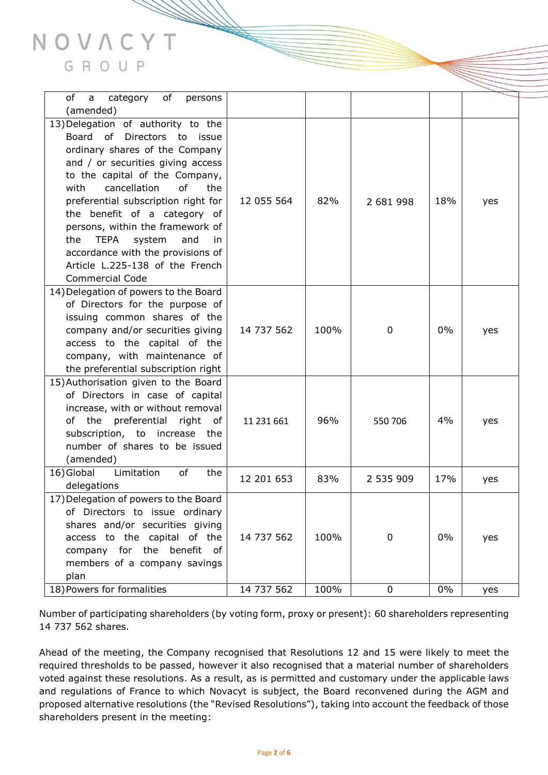

| οf<br>category<br>a<br>of<br>persons                                                                                                                                                                                                                                                                                                                                                                                                                                      |            |      |             |       |     |
|---------------------------------------------------------------------------------------------------------------------------------------------------------------------------------------------------------------------------------------------------------------------------------------------------------------------------------------------------------------------------------------------------------------------------------------------------------------------------|------------|------|-------------|-------|-----|
| (amended)                                                                                                                                                                                                                                                                                                                                                                                                                                                                 |            |      |             |       |     |
| 13) Delegation of authority to the<br>Board of Directors to issue<br>ordinary shares of the Company<br>and / or securities giving access<br>to the capital of the Company,<br>cancellation<br>of<br>with<br>the<br>preferential subscription right for<br>the benefit of a category of<br>persons, within the framework of<br><b>TEPA</b><br>system<br>and<br>the<br>in<br>accordance with the provisions of<br>Article L.225-138 of the French<br><b>Commercial Code</b> | 12 055 564 | 82%  | 2 681 998   | 18%   | yes |
| 14) Delegation of powers to the Board<br>of Directors for the purpose of<br>issuing common shares of the<br>company and/or securities giving<br>access to the capital of the<br>company, with maintenance of<br>the preferential subscription right                                                                                                                                                                                                                       | 14 737 562 | 100% | 0           | 0%    | yes |
| 15) Authorisation given to the Board<br>of Directors in case of capital<br>increase, with or without removal<br>the preferential<br>right<br>of<br>of<br>subscription, to increase the<br>number of shares to be issued<br>(amended)                                                                                                                                                                                                                                      | 11 231 661 | 96%  | 550 706     | 4%    | yes |
| 16) Global<br>of<br>Limitation<br>the<br>delegations                                                                                                                                                                                                                                                                                                                                                                                                                      | 12 201 653 | 83%  | 2 535 909   | 17%   | yes |
| 17) Delegation of powers to the Board<br>of Directors to issue ordinary<br>shares and/or securities giving<br>access to the capital of the<br>company for the benefit of<br>members of a company savings<br>plan                                                                                                                                                                                                                                                          | 14 737 562 | 100% | 0           | $0\%$ | yes |
| 18) Powers for formalities                                                                                                                                                                                                                                                                                                                                                                                                                                                | 14 737 562 | 100% | $\mathbf 0$ | $0\%$ | yes |

Number of participating shareholders (by voting form, proxy or present): 60 shareholders representing 14 737 562 shares.

Ahead of the meeting, the Company recognised that Resolutions 12 and 15 were likely to meet the required thresholds to be passed, however it also recognised that a material number of shareholders voted against these resolutions. As a result, as is permitted and customary under the applicable laws and regulations of France to which Novacyt is subject, the Board reconvened during the AGM and proposed alternative resolutions (the "Revised Resolutions"), taking into account the feedback of those shareholders present in the meeting: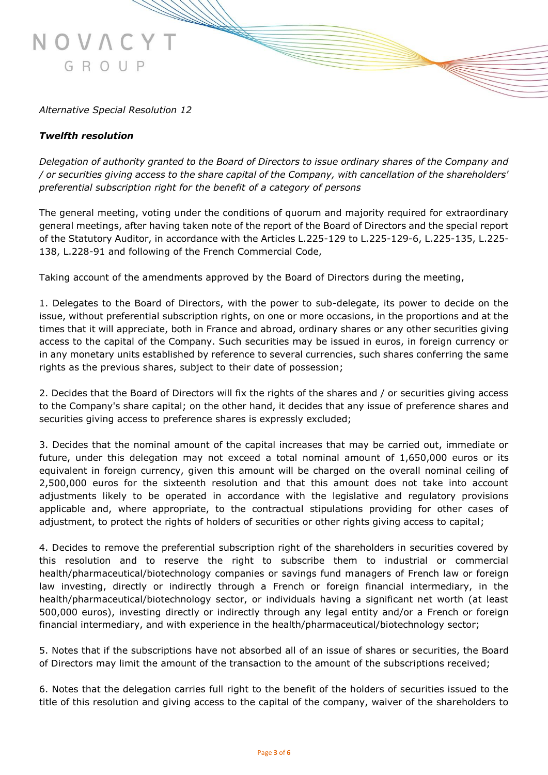# *Alternative Special Resolution 12*

GROUP

#### *Twelfth resolution*

NOVAC

*Delegation of authority granted to the Board of Directors to issue ordinary shares of the Company and / or securities giving access to the share capital of the Company, with cancellation of the shareholders' preferential subscription right for the benefit of a category of persons* 

The general meeting, voting under the conditions of quorum and majority required for extraordinary general meetings, after having taken note of the report of the Board of Directors and the special report of the Statutory Auditor, in accordance with the Articles L.225-129 to L.225-129-6, L.225-135, L.225- 138, L.228-91 and following of the French Commercial Code,

Taking account of the amendments approved by the Board of Directors during the meeting,

1. Delegates to the Board of Directors, with the power to sub-delegate, its power to decide on the issue, without preferential subscription rights, on one or more occasions, in the proportions and at the times that it will appreciate, both in France and abroad, ordinary shares or any other securities giving access to the capital of the Company. Such securities may be issued in euros, in foreign currency or in any monetary units established by reference to several currencies, such shares conferring the same rights as the previous shares, subject to their date of possession;

2. Decides that the Board of Directors will fix the rights of the shares and / or securities giving access to the Company's share capital; on the other hand, it decides that any issue of preference shares and securities giving access to preference shares is expressly excluded;

3. Decides that the nominal amount of the capital increases that may be carried out, immediate or future, under this delegation may not exceed a total nominal amount of 1,650,000 euros or its equivalent in foreign currency, given this amount will be charged on the overall nominal ceiling of 2,500,000 euros for the sixteenth resolution and that this amount does not take into account adjustments likely to be operated in accordance with the legislative and regulatory provisions applicable and, where appropriate, to the contractual stipulations providing for other cases of adjustment, to protect the rights of holders of securities or other rights giving access to capital;

4. Decides to remove the preferential subscription right of the shareholders in securities covered by this resolution and to reserve the right to subscribe them to industrial or commercial health/pharmaceutical/biotechnology companies or savings fund managers of French law or foreign law investing, directly or indirectly through a French or foreign financial intermediary, in the health/pharmaceutical/biotechnology sector, or individuals having a significant net worth (at least 500,000 euros), investing directly or indirectly through any legal entity and/or a French or foreign financial intermediary, and with experience in the health/pharmaceutical/biotechnology sector;

5. Notes that if the subscriptions have not absorbed all of an issue of shares or securities, the Board of Directors may limit the amount of the transaction to the amount of the subscriptions received;

6. Notes that the delegation carries full right to the benefit of the holders of securities issued to the title of this resolution and giving access to the capital of the company, waiver of the shareholders to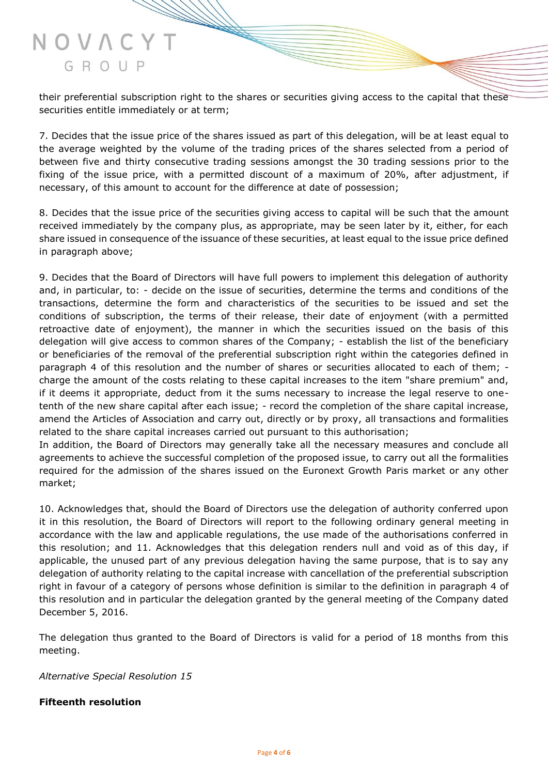# NOVAC GROUP

their preferential subscription right to the shares or securities giving access to the capital that these securities entitle immediately or at term;

7. Decides that the issue price of the shares issued as part of this delegation, will be at least equal to the average weighted by the volume of the trading prices of the shares selected from a period of between five and thirty consecutive trading sessions amongst the 30 trading sessions prior to the fixing of the issue price, with a permitted discount of a maximum of 20%, after adjustment, if necessary, of this amount to account for the difference at date of possession;

8. Decides that the issue price of the securities giving access to capital will be such that the amount received immediately by the company plus, as appropriate, may be seen later by it, either, for each share issued in consequence of the issuance of these securities, at least equal to the issue price defined in paragraph above;

9. Decides that the Board of Directors will have full powers to implement this delegation of authority and, in particular, to: - decide on the issue of securities, determine the terms and conditions of the transactions, determine the form and characteristics of the securities to be issued and set the conditions of subscription, the terms of their release, their date of enjoyment (with a permitted retroactive date of enjoyment), the manner in which the securities issued on the basis of this delegation will give access to common shares of the Company; - establish the list of the beneficiary or beneficiaries of the removal of the preferential subscription right within the categories defined in paragraph 4 of this resolution and the number of shares or securities allocated to each of them; charge the amount of the costs relating to these capital increases to the item "share premium" and, if it deems it appropriate, deduct from it the sums necessary to increase the legal reserve to onetenth of the new share capital after each issue; - record the completion of the share capital increase, amend the Articles of Association and carry out, directly or by proxy, all transactions and formalities related to the share capital increases carried out pursuant to this authorisation;

In addition, the Board of Directors may generally take all the necessary measures and conclude all agreements to achieve the successful completion of the proposed issue, to carry out all the formalities required for the admission of the shares issued on the Euronext Growth Paris market or any other market;

10. Acknowledges that, should the Board of Directors use the delegation of authority conferred upon it in this resolution, the Board of Directors will report to the following ordinary general meeting in accordance with the law and applicable regulations, the use made of the authorisations conferred in this resolution; and 11. Acknowledges that this delegation renders null and void as of this day, if applicable, the unused part of any previous delegation having the same purpose, that is to say any delegation of authority relating to the capital increase with cancellation of the preferential subscription right in favour of a category of persons whose definition is similar to the definition in paragraph 4 of this resolution and in particular the delegation granted by the general meeting of the Company dated December 5, 2016.

The delegation thus granted to the Board of Directors is valid for a period of 18 months from this meeting.

*Alternative Special Resolution 15*

## **Fifteenth resolution**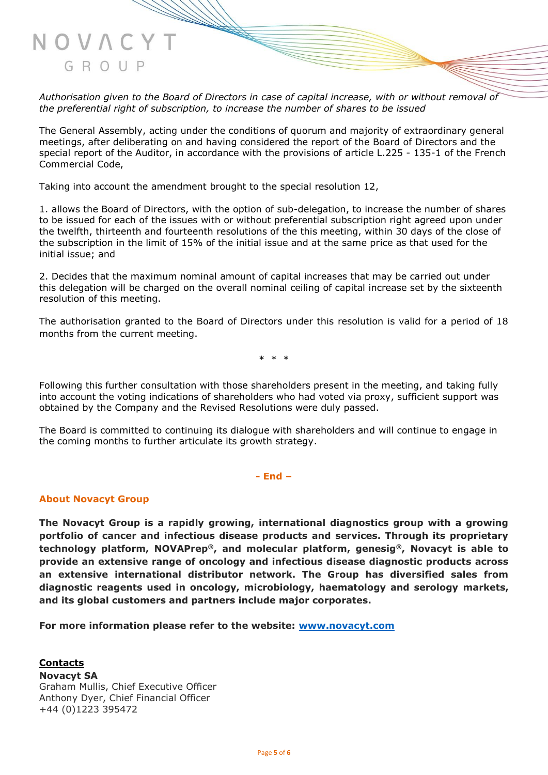*Authorisation given to the Board of Directors in case of capital increase, with or without removal of the preferential right of subscription, to increase the number of shares to be issued* 

The General Assembly, acting under the conditions of quorum and majority of extraordinary general meetings, after deliberating on and having considered the report of the Board of Directors and the special report of the Auditor, in accordance with the provisions of article L.225 - 135-1 of the French Commercial Code,

Taking into account the amendment brought to the special resolution 12,

1. allows the Board of Directors, with the option of sub-delegation, to increase the number of shares to be issued for each of the issues with or without preferential subscription right agreed upon under the twelfth, thirteenth and fourteenth resolutions of the this meeting, within 30 days of the close of the subscription in the limit of 15% of the initial issue and at the same price as that used for the initial issue; and

2. Decides that the maximum nominal amount of capital increases that may be carried out under this delegation will be charged on the overall nominal ceiling of capital increase set by the sixteenth resolution of this meeting.

The authorisation granted to the Board of Directors under this resolution is valid for a period of 18 months from the current meeting.

\* \* \*

Following this further consultation with those shareholders present in the meeting, and taking fully into account the voting indications of shareholders who had voted via proxy, sufficient support was obtained by the Company and the Revised Resolutions were duly passed.

The Board is committed to continuing its dialogue with shareholders and will continue to engage in the coming months to further articulate its growth strategy.

**- End –**

#### **About Novacyt Group**

**The Novacyt Group is a rapidly growing, international diagnostics group with a growing portfolio of cancer and infectious disease products and services. Through its proprietary technology platform, NOVAPrep®, and molecular platform, genesig®, Novacyt is able to provide an extensive range of oncology and infectious disease diagnostic products across an extensive international distributor network. The Group has diversified sales from diagnostic reagents used in oncology, microbiology, haematology and serology markets, and its global customers and partners include major corporates.**

**For more information please refer to the website: [www.novacyt.com](http://www.novacyt.com/)**

**Contacts Novacyt SA** Graham Mullis, Chief Executive Officer Anthony Dyer, Chief Financial Officer +44 (0)1223 395472